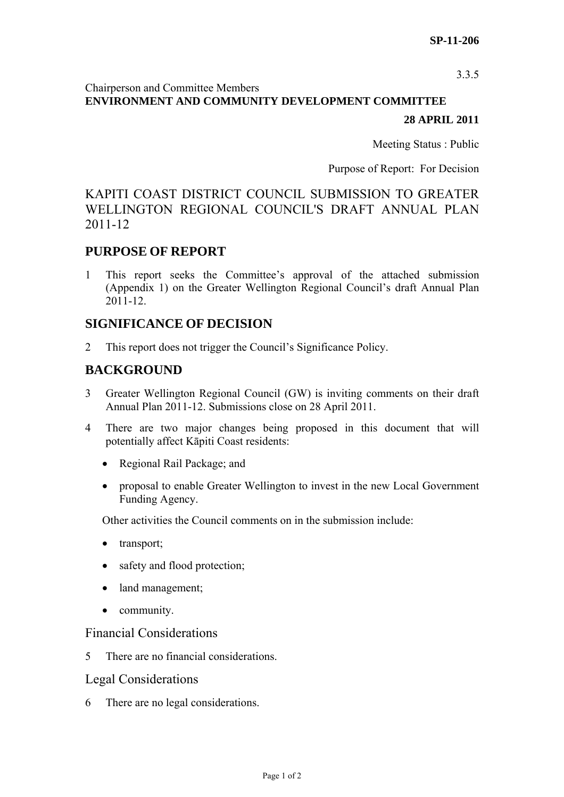3.3.5

#### Chairperson and Committee Members **ENVIRONMENT AND COMMUNITY DEVELOPMENT COMMITTEE**

#### **28 APRIL 2011**

Meeting Status : Public

Purpose of Report: For Decision

# KAPITI COAST DISTRICT COUNCIL SUBMISSION TO GREATER WELLINGTON REGIONAL COUNCIL'S DRAFT ANNUAL PLAN 2011-12

## **PURPOSE OF REPORT**

1 This report seeks the Committee's approval of the attached submission (Appendix 1) on the Greater Wellington Regional Council's draft Annual Plan 2011-12.

### **SIGNIFICANCE OF DECISION**

2 This report does not trigger the Council's Significance Policy.

## **BACKGROUND**

- 3 Greater Wellington Regional Council (GW) is inviting comments on their draft Annual Plan 2011-12. Submissions close on 28 April 2011.
- 4 There are two major changes being proposed in this document that will potentially affect Kāpiti Coast residents:
	- Regional Rail Package; and
	- proposal to enable Greater Wellington to invest in the new Local Government Funding Agency.

Other activities the Council comments on in the submission include:

- transport;
- safety and flood protection;
- land management;
- community.

#### Financial Considerations

5 There are no financial considerations.

#### Legal Considerations

6 There are no legal considerations.